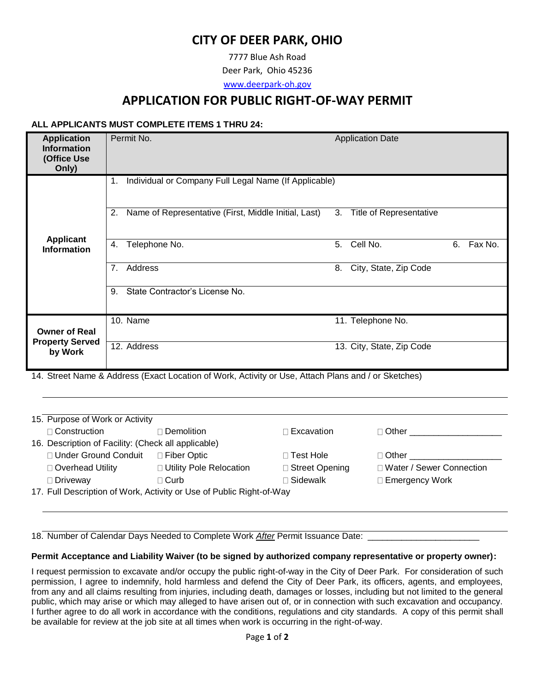# **CITY OF DEER PARK, OHIO**

7777 Blue Ash Road

Deer Park, Ohio 45236

[www.deerpark-oh.gov](http://www.deerpark-oh.gov/)

## **APPLICATION FOR PUBLIC RIGHT-OF-WAY PERMIT**

## **ALL APPLICANTS MUST COMPLETE ITEMS 1 THRU 24:**

| <b>Application</b><br><b>Information</b><br>(Office Use<br>Only) | Permit No.                                                                                                         |    | <b>Application Date</b>        |    |         |
|------------------------------------------------------------------|--------------------------------------------------------------------------------------------------------------------|----|--------------------------------|----|---------|
|                                                                  | Individual or Company Full Legal Name (If Applicable)<br>1.                                                        |    |                                |    |         |
| <b>Applicant</b>                                                 | 2.<br>Name of Representative (First, Middle Initial, Last)                                                         | 3. | <b>Title of Representative</b> |    |         |
| <b>Information</b>                                               | Telephone No.<br>4.                                                                                                | 5. | Cell No.                       | 6. | Fax No. |
|                                                                  | Address<br>7.                                                                                                      | 8. | City, State, Zip Code          |    |         |
|                                                                  | State Contractor's License No.<br>9.                                                                               |    |                                |    |         |
| <b>Owner of Real</b>                                             | 10. Name                                                                                                           |    | 11. Telephone No.              |    |         |
| <b>Property Served</b><br>by Work                                | 12. Address<br>14. Street Name & Address (Exact Location of Work, Activity or Lise, Attach Plans and Lor Sketches) |    | 13. City, State, Zip Code      |    |         |

14. Street Name & Address (Exact Location of Work, Activity or Use, Attach Plans and / or Sketches)

| $\Box$ Construction                                                  | □ Demolition i            | $\Box$ Excavation | $\sqcap$ Other $\sqcap$    |  |
|----------------------------------------------------------------------|---------------------------|-------------------|----------------------------|--|
| 16. Description of Facility: (Check all applicable)                  |                           |                   |                            |  |
| □ Under Ground Conduit                                               | □ Fiber Optic             | ⊓ Test Hole       | $\sqcap$ Other $\sqcap$    |  |
| □ Overhead Utility                                                   | □ Utility Pole Relocation | □ Street Opening  | □ Water / Sewer Connection |  |
| □ Driveway                                                           | $\sqcap$ Curb             | $\sqcap$ Sidewalk | □ Emergency Work           |  |
| 17. Full Description of Work, Activity or Use of Public Right-of-Way |                           |                   |                            |  |

18. Number of Calendar Days Needed to Complete Work *After* Permit Issuance Date:

#### **Permit Acceptance and Liability Waiver (to be signed by authorized company representative or property owner):**

I request permission to excavate and/or occupy the public right-of-way in the City of Deer Park. For consideration of such permission, I agree to indemnify, hold harmless and defend the City of Deer Park, its officers, agents, and employees, from any and all claims resulting from injuries, including death, damages or losses, including but not limited to the general public, which may arise or which may alleged to have arisen out of, or in connection with such excavation and occupancy. I further agree to do all work in accordance with the conditions, regulations and city standards. A copy of this permit shall be available for review at the job site at all times when work is occurring in the right-of-way.